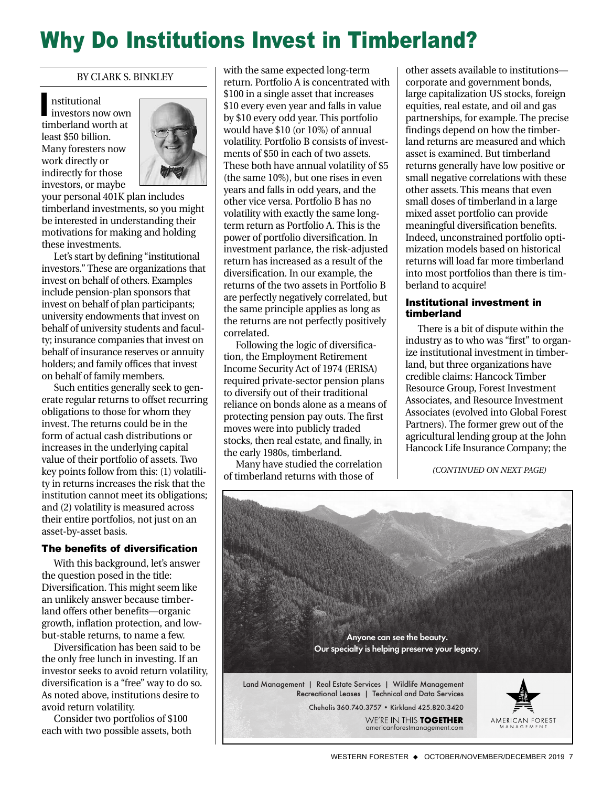# Why Do Institutions Invest in Timberland?

#### BY CLARK S. BINKLEY

nstitutional nstitutional<br>investors now own timberland worth at least \$50 billion. Many foresters now work directly or indirectly for those investors, or maybe



your personal 401K plan includes timberland investments, so you might be interested in understanding their motivations for making and holding these investments.

Let's start by defining "institutional investors." These are organizations that invest on behalf of others. Examples include pension-plan sponsors that invest on behalf of plan participants; university endowments that invest on behalf of university students and faculty; insurance companies that invest on behalf of insurance reserves or annuity holders; and family offices that invest on behalf of family members.

Such entities generally seek to generate regular returns to offset recurring obligations to those for whom they invest. The returns could be in the form of actual cash distributions or increases in the underlying capital value of their portfolio of assets. Two key points follow from this: (1) volatility in returns increases the risk that the institution cannot meet its obligations; and (2) volatility is measured across their entire portfolios, not just on an asset-by-asset basis.

### The benefits of diversification

With this background, let's answer the question posed in the title: Diversification. This might seem like an unlikely answer because timberland offers other benefits—organic growth, inflation protection, and lowbut-stable returns, to name a few.

Diversification has been said to be the only free lunch in investing. If an investor seeks to avoid return volatility, diversification is a "free" way to do so. As noted above, institutions desire to avoid return volatility.

Consider two portfolios of \$100 each with two possible assets, both with the same expected long-term return. Portfolio A is concentrated with \$100 in a single asset that increases \$10 every even year and falls in value by \$10 every odd year. This portfolio would have \$10 (or 10%) of annual volatility. Portfolio B consists of investments of \$50 in each of two assets. These both have annual volatility of \$5 (the same 10%), but one rises in even years and falls in odd years, and the other vice versa. Portfolio B has no volatility with exactly the same longterm return as Portfolio A. This is the power of portfolio diversification. In investment parlance, the risk-adjusted return has increased as a result of the diversification. In our example, the returns of the two assets in Portfolio B are perfectly negatively correlated, but the same principle applies as long as the returns are not perfectly positively correlated.

Following the logic of diversification, the Employment Retirement Income Security Act of 1974 (ERISA) required private-sector pension plans to diversify out of their traditional reliance on bonds alone as a means of protecting pension pay outs. The first moves were into publicly traded stocks, then real estate, and finally, in the early 1980s, timberland.

Many have studied the correlation of timberland returns with those of

other assets available to institutions corporate and government bonds, large capitalization US stocks, foreign equities, real estate, and oil and gas partnerships, for example. The precise findings depend on how the timberland returns are measured and which asset is examined. But timberland returns generally have low positive or small negative correlations with these other assets. This means that even small doses of timberland in a large mixed asset portfolio can provide meaningful diversification benefits. Indeed, unconstrained portfolio optimization models based on historical returns will load far more timberland into most portfolios than there is timberland to acquire!

## Institutional investment in timberland

There is a bit of dispute within the industry as to who was "first" to organize institutional investment in timberland, but three organizations have credible claims: Hancock Timber Resource Group, Forest Investment Associates, and Resource Investment Associates (evolved into Global Forest Partners). The former grew out of the agricultural lending group at the John Hancock Life Insurance Company; the

*(CONTINUED ON NEXT PAGE)*

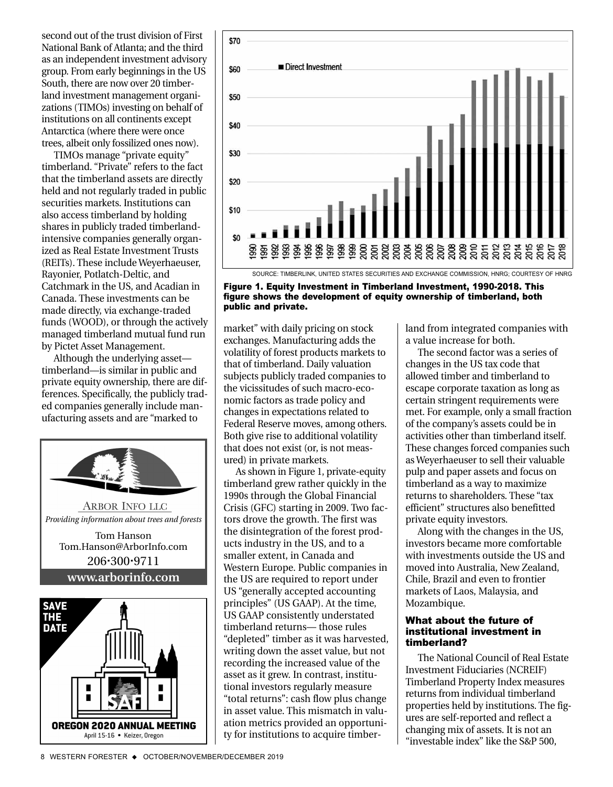second out of the trust division of First National Bank of Atlanta; and the third as an independent investment advisory group. From early beginnings in the US South, there are now over 20 timberland investment management organizations (TIMOs) investing on behalf of institutions on all continents except Antarctica (where there were once trees, albeit only fossilized ones now).

TIMOs manage "private equity" timberland. "Private" refers to the fact that the timberland assets are directly held and not regularly traded in public securities markets. Institutions can also access timberland by holding shares in publicly traded timberlandintensive companies generally organized as Real Estate Investment Trusts (REITs). These include Weyerhaeuser, Rayonier, Potlatch-Deltic, and Catchmark in the US, and Acadian in Canada. These investments can be made directly, via exchange-traded funds (WOOD), or through the actively managed timberland mutual fund run by Pictet Asset Management.

Although the underlying asset timberland—is similar in public and private equity ownership, there are differences. Specifically, the publicly traded companies generally include manufacturing assets and are "marked to





Figure 1. Equity Investment in Timberland Investment, 1990-2018. This figure shows the development of equity ownership of timberland, both public and private.

market" with daily pricing on stock exchanges. Manufacturing adds the volatility of forest products markets to that of timberland. Daily valuation subjects publicly traded companies to the vicissitudes of such macro-economic factors as trade policy and changes in expectations related to Federal Reserve moves, among others. Both give rise to additional volatility that does not exist (or, is not measured) in private markets.

As shown in Figure 1, private-equity timberland grew rather quickly in the 1990s through the Global Financial Crisis (GFC) starting in 2009. Two factors drove the growth. The first was the disintegration of the forest products industry in the US, and to a smaller extent, in Canada and Western Europe. Public companies in the US are required to report under US "generally accepted accounting principles" (US GAAP). At the time, US GAAP consistently understated timberland returns— those rules "depleted" timber as it was harvested, writing down the asset value, but not recording the increased value of the asset as it grew. In contrast, institutional investors regularly measure "total returns": cash flow plus change in asset value. This mismatch in valuation metrics provided an opportunity for institutions to acquire timberland from integrated companies with a value increase for both.

The second factor was a series of changes in the US tax code that allowed timber and timberland to escape corporate taxation as long as certain stringent requirements were met. For example, only a small fraction of the company's assets could be in activities other than timberland itself. These changes forced companies such as Weyerhaeuser to sell their valuable pulp and paper assets and focus on timberland as a way to maximize returns to shareholders. These "tax efficient" structures also benefitted private equity investors.

Along with the changes in the US, investors became more comfortable with investments outside the US and moved into Australia, New Zealand, Chile, Brazil and even to frontier markets of Laos, Malaysia, and Mozambique.

### What about the future of institutional investment in timberland?

The National Council of Real Estate Investment Fiduciaries (NCREIF) Timberland Property Index measures returns from individual timberland properties held by institutions. The figures are self-reported and reflect a changing mix of assets. It is not an "investable index" like the S&P 500,